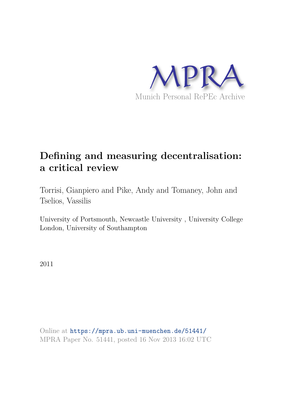

# **Defining and measuring decentralisation: a critical review**

Torrisi, Gianpiero and Pike, Andy and Tomaney, John and Tselios, Vassilis

University of Portsmouth, Newcastle University , University College London, University of Southampton

2011

Online at https://mpra.ub.uni-muenchen.de/51441/ MPRA Paper No. 51441, posted 16 Nov 2013 16:02 UTC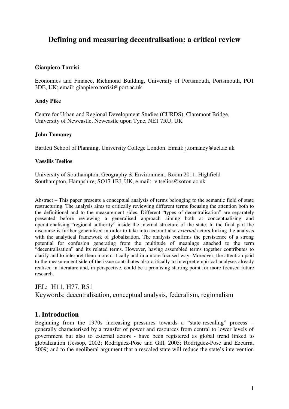# **Defining and measuring decentralisation: a critical review**

# **Gianpiero Torrisi**

Economics and Finance, Richmond Building, University of Portsmouth, Portsmouth, PO1 3DE, UK; email: gianpiero.torrisi@port.ac.uk

# **Andy Pike**

Centre for Urban and Regional Development Studies (CURDS), Claremont Bridge, University of Newcastle, Newcastle upon Tyne, NE1 7RU, UK

# **John Tomaney**

Bartlett School of Planning, University College London. Email: j.tomaney@ucl.ac.uk

### **Vassilis Tselios**

University of Southampton, Geography & Environment, Room 2011, Highfield Southampton, Hampshire, SO17 1BJ, UK, e.mail: v.tselios@soton.ac.uk

Abstract – This paper presents a conceptual analysis of terms belonging to the semantic field of state restructuring. The analysis aims to critically reviewing different terms focusing the attention both to the definitional and to the measurement sides. Different "types of decentralisation" are separately presented before reviewing a generalised approach aiming both at conceptualising and operationalising "regional authority" inside the internal structure of the state. In the final part the discourse is further generalised in order to take into account also *external* actors linking the analysis with the analytical framework of globalisation. The analysis confirms the persistence of a strong potential for confusion generating from the multitude of meanings attached to the term "decentralisation" and its related terms. However, having assembled terms together contributes to clarify and to interpret them more critically and in a more focused way. Moreover, the attention paid to the measurement side of the issue contributes also critically to interpret empirical analyses already realised in literature and, in perspective, could be a promising starting point for more focused future research.

# JEL: H11, H77, R51

Keywords: decentralisation, conceptual analysis, federalism, regionalism

# **1. Introduction**

Beginning from the 1970s increasing pressures towards a "state-rescaling" process – generally characterised by a transfer of power and resources from central to lower levels of government but also to external actors - have been registered as global trend linked to globalization (Jessop, 2002; Rodríguez-Pose and Gill, 2005; Rodríguez-Pose and Ezcurra, 2009) and to the neoliberal argument that a rescaled state will reduce the state's intervention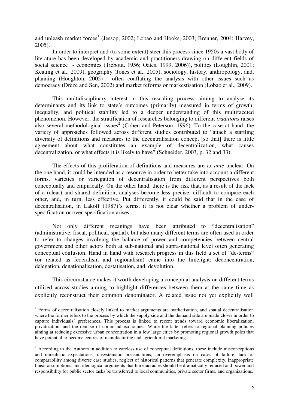and unleash market forces<sup>1</sup> (Jessop, 2002; Lobao and Hooks, 2003; Brenner, 2004; Harvey, 2005).

In order to interpret and (to some extent) steer this process since 1950s a vast body of literature has been developed by academic and practitioners drawing on different fields of social science - economics (Tiebout, 1956; Oates, 1999, 2006))**,** politics (Loughlin, 2001; Keating et al., 2009), geography (Jones et al., 2005), sociology, history, anthropology, and, planning (Houghton, 2005) - often conflating the analysis with other issues such as democracy (Drèze and Sen, 2002) and market reforms or markestisation (Lobao et al., 2009).

This multidisciplinary interest in this rescaling process aiming to analyse its determinants and its link to state's outcomes (primarily) measured in terms of growth, inequality, and political stability led to a deeper understanding of this multifaceted phenomenon. However, the stratification of researches belonging to different *traditions* raises also several methodological issues<sup>2</sup> (Cohen and Peterson, 1996). To the case at hand, the variety of approaches followed across different studies contributed to "attach a startling diversity of definitions and measures to the decentralisation concept [so that] there is little agreement about what constitutes an example of decentralization, what causes decentralization, or what effects it is likely to have" (Schneider, 2003, p. 32 and 33).

The effects of this proliferation of definitions and measures are *ex ante* unclear. On the one hand, it could be intended as a resource in order to better take into account a different forms, varieties or variegation of decentralisation from different perspectives both conceptually and empirically. On the other hand, there is the risk that, as a result of the lack of a (clear) and shared definition, analyses become less precise, difficult to compare each other, and, in turn, less effective. Put differently, it could be said that in the case of decentralisation, in Lakoff (1987)'s terms, it is not clear whether a problem of underspecification or over-specification arises.

Not only different meanings have been attributed to "decentralisation" (administrative, fiscal, political, spatial), but also many different terms are often used in order to refer to changes involving the balance of power and competencies between central government and other actors both at sub-national and supra-national level often generating conceptual confusion. Hand in hand with research progress in this field a set of "de-terms" (or related as federalism and regionalism) came into the limelight: deconcentration, delegation, denationalisation, destatisation, and, devolution.

This circumstance makes it worth developing a conceptual analysis on different terms utilised across studies aiming to highlight differences between them at the same time as explicitly reconstruct their common denominator. A related issue not yet explicitly well

-

<sup>&</sup>lt;sup>1</sup> Forms of decentralisation closely linked to market arguments are marketisation, and spatial decentralisation where the former refers to the process by which the supply side and the demand side are made closer in order to capture individuals' preferences. This process is linked to recent trends toward economic liberalization, privatization, and the demise of command economies. While the latter refers to regional planning policies aiming at reducing excessive urban concentration in a few large cities by promoting regional growth poles that have potential to become centres of manufacturing and agricultural marketing.

 $2$  According to the Authors in addition to careless use of conceptual definitions, these include misconceptions and unrealistic expectations, unsystematic presentations, an overemphasis on cases of failure, lack of comparability among diverse case studies, neglect of historical patterns that generate complexity, inappropriate linear assumptions, and ideological arguments that bureaucracies should be dramatically reduced and power and responsibility for public sector tasks be transferred to local communities, private sector firms, and organizations.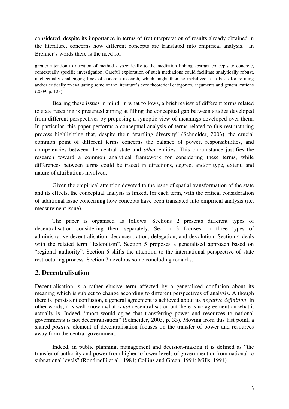considered, despite its importance in terms of (re)interpretation of results already obtained in the literature, concerns how different concepts are translated into empirical analysis. In Brenner's words there is the need for

greater attention to question of method - specifically to the mediation linking abstract concepts to concrete, contextually specific investigation. Careful exploration of such mediations could facilitate analytically robust, intellectually challenging lines of concrete research, which might then be mobilized as a basis for refining and/or critically re-evaluating some of the literature's core theoretical categories, arguments and generalizations (2009, p. 123).

Bearing these issues in mind, in what follows, a brief review of different terms related to state rescaling is presented aiming at filling the conceptual gap between studies developed from different perspectives by proposing a synoptic view of meanings developed over them. In particular, this paper performs a conceptual analysis of terms related to this restructuring process highlighting that, despite their "startling diversity" (Schneider, 2003), the crucial common point of different terms concerns the balance of power, responsibilities, and competencies between the central state and *other* entities. This circumstance justifies the research toward a common analytical framework for considering these terms, while differences between terms could be traced in directions, degree, and/or type, extent, and nature of attributions involved.

Given the empirical attention devoted to the issue of spatial transformation of the state and its effects, the conceptual analysis is linked, for each term, with the critical consideration of additional issue concerning how concepts have been translated into empirical analysis (i.e. measurement issue).

The paper is organised as follows. Sections 2 presents different types of decentralisation considering them separately. Section 3 focuses on three types of administrative decentralisation: deconcentration, delegation, and devolution. Section 4 deals with the related term "federalism". Section 5 proposes a generalised approach based on "regional authority". Section 6 shifts the attention to the international perspective of state restructuring process. Section 7 develops some concluding remarks.

# **2. Decentralisation**

Decentralisation is a rather elusive term affected by a generalised confusion about its meaning which is subject to change according to different perspectives of analysis. Although there is persistent confusion, a general agreement is achieved about its *negative definition*. In other words, it is well known what *is not* decentralisation but there is no agreement on what it actually is. Indeed, "most would agree that transferring power and resources to national governments is not decentralisation" (Schneider, 2003, p. 33). Moving from this last point, a shared *positive* element of decentralisation focuses on the transfer of power and resources away from the central government.

Indeed, in public planning, management and decision-making it is defined as "the transfer of authority and power from higher to lower levels of government or from national to subnational levels" (Rondinelli et al., 1984; Collins and Green, 1994; Mills, 1994).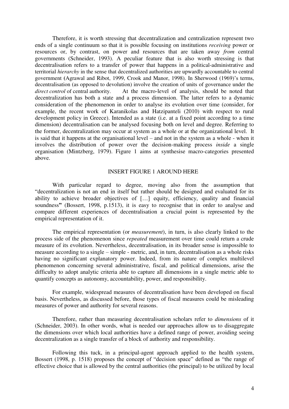Therefore, it is worth stressing that decentralization and centralization represent two ends of a single continuum so that it is possible focusing on institutions *receiving* power or resources or, by contrast, on power and resources that are taken away *from* central governments (Schneider, 1993). A peculiar feature that is also worth stressing is that decentralisation refers to a transfer of power that happens in a political-administrative and territorial *hierarchy* in the sense that decentralized authorities are upwardly accountable to central government **(**Agrawal and Ribot, 1999, Crook and Manor, 1998). In Sherwood (1969)'s terms, decentralisation (as opposed to devolution) involve the creation of units of governance under the *direct control* of central authority. At the macro-level of analysis, should be noted that decentralization has both a state and a process dimension. The latter refers to a dynamic consideration of the phenomenon in order to analyse its evolution over time (consider, for example, the recent work of Karanikolas and Hatzipanteli (2010) with respect to rural development policy in Greece). Intended as a state (i.e. at a fixed point according to a time dimension) decentralisation can be analysed focusing both on level and degree. Referring to the former, decentralization may occur at system as a whole or at the organizational level. It is said that it happens at the organisational level – and not in the system as a whole - when it involves the distribution of power over the decision-making process *inside* a single organisation (Mintzberg, 1979). Figure 1 aims at synthesise macro-categories presented above.

#### INSERT FIGURE 1 AROUND HERE

 With particular regard to degree, moving also from the assumption that "decentralization is not an end in itself but rather should be designed and evaluated for its ability to achieve broader objectives of […] equity, efficiency, quality and financial soundness**"** (Bossert, 1998, p.1513), it is easy to recognise that in order to analyse and compare different experiences of decentralisation a crucial point is represented by the empirical representation of it.

 The empirical representation (or *measurement*), in turn, is also clearly linked to the process side of the phenomenon since *repeated* measurement over time could return a crude measure of its evolution. Nevertheless, decentralisation, in its broader sense is impossible to measure according to a single – simple - metric, and, in turn, decentralisation as a whole risks having no significant explanatory power. Indeed, from its nature of complex multilevel phenomenon concerning several administrative, fiscal, and political dimensions, arise the difficulty to adopt analytic criteria able to capture all dimensions in a single metric able to quantify concepts as autonomy, accountability, power, and responsibility.

 For example, widespread measures of decentralisation have been developed on fiscal basis. Nevertheless, as discussed before, those types of fiscal measures could be misleading measures of power and authority for several reasons.

 Therefore, rather than measuring decentralisation scholars refer to *dimensions* of it (Schneider, 2003). In other words, what is needed our approaches allow us to disaggregate the dimensions over which local authorities have a defined range of power, avoiding seeing decentralization as a single transfer of a block of authority and responsibility.

Following this tuck, in a principal-agent approach applied to the health system, Bossert (1998, p. 1518) proposes the concept of "decision space" defined as "the range of effective choice that is allowed by the central authorities (the principal) to be utilized by local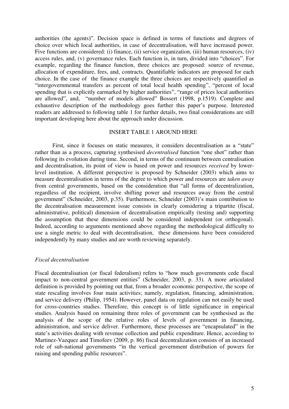authorities (the agents)". Decision space is defined in terms of functions and degrees of choice over which local authorities, in case of decentralisation, will have increased power. Five functions are considered: (i) finance, (ii) service organization, (iii) human resources, (iv) access rules, and, (v) governance rules. Each function is, in turn, divided into "choices". For example, regarding the finance function, three choices are proposed: source of revenue, allocation of expenditure, fees, and, contracts. Quantifiable indicators are proposed for each choice. In the case of the finance example the three choices are respectively quantified as "intergovernmental transfers as percent of total local health spending", "percent of local spending that is explicitly earmarked by higher authorities", "range of prices local authorities are allowed", and, "number of models allowed" Bossert (1998, p.1519). Complete and exhaustive description of the methodology goes further this paper's purpose. Interested readers are addressed to following table 1 for further details, two final considerations are still important developing here about the approach under discussion.

#### INSERT TABLE 1 AROUND HERE

First, since it focuses on static measures, it considers decentralisation as a "state" rather than as a process, capturing synthesised *decentralised* function "one shot" rather than following its evolution during time. Second, in terms of the continuum between centralisation and decentralisation, its point of view is based on power and resources *received* by lowerlevel institution. A different perspective is proposed by Schneider (2003) which aims to measure decentralisation in terms of the degree to which power and resources are *taken away* from central governments, based on the consideration that "all forms of decentralization, regardless of the recipient, involve shifting power and resources away from the central government" (Schneider, 2003, p.35). Furthermore, Schneider (2003)'s main contribution to the decentralisation measurement issue consists in clearly considering a tripartite (fiscal, administrative, political) dimension of decentralisation empirically (testing and) supporting the assumption that these dimensions could be considered independent (or orthogonal). Indeed, according to arguments mentioned above regarding the methodological difficulty to use a single metric to deal with decentralisation, these dimensions have been considered independently by many studies and are worth reviewing separately.

#### *Fiscal decentralisation*

Fiscal decentralisation (or fiscal federalism) refers to "how much governments cede fiscal impact to non-central government entities" (Schneider, 2003, p. 33). A more articulated definition is provided by pointing out that, from a broader economic perspective, the scope of state rescaling involves four main activities; namely, regulation, financing, administration, and service delivery (Philip, 1954). However, panel data on regulation can not easily be used for cross-countries studies. Therefore, this concept is of little significance in empirical studies. Analysis based on remaining three roles of government can be synthesised as the analysis of the scope of the relative roles of levels of government in financing, administration, and service deliver. Furthermore, these processes are "encapsulated" in the state's activities dealing with revenue collection and public expenditure. Hence, according to Martinez-Vazquez and Timofeev (2009, p. 86) fiscal decentralization consists of an increased role of sub-national governments "in the vertical government distribution of powers for raising and spending public resources".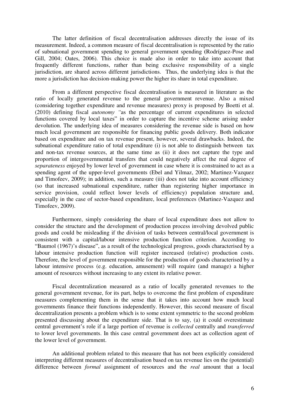The latter definition of fiscal decentralisation addresses directly the issue of its measurement. Indeed, a common measure of fiscal decentralisation is represented by the ratio of subnational government spending to general government spending **(**Rodríguez-Pose and Gill, 2004; Oates, 2006). This choice is made also in order to take into account that frequently different functions, rather than being exclusive responsibility of a single jurisdiction, are shared across different jurisdictions. Thus, the underlying idea is that the more a jurisdiction has decision-making power the higher its share in total expenditure.

From a different perspective fiscal decentralisation is measured in literature as the ratio of locally generated revenue to the general government revenue. Also a mixed (considering together expenditure and revenue measures) proxy is proposed by Boetti et al. (2010) defining fiscal *autonomy "*as the percentage of current expenditures in selected functions covered by local taxes" in order to capture the incentive scheme arising under devolution. The underlying idea of measures considering the revenue side is based on how much local government are responsible for financing public goods delivery. Both indicator based on expenditure and on tax revenue present, however, several drawbacks. Indeed, the subnational expenditure ratio of total expenditure (i) is not able to distinguish between tax and non-tax revenue sources, at the same time as (ii) it does not capture the type and proportion of intergovernmental transfers that could negatively affect the real degree of *separateness* enjoyed by lower level of government in case where it is constrained to act as a spending agent of the upper-level governments (Ebel and Yilmaz, 2002; Martinez-Vazquez and Timofeev, 2009); in addition, such a measure (iii) does not take into account efficiency (so that increased subnational expenditure, rather than registering higher importance in service provision, could reflect lower levels of efficiency) population structure and, especially in the case of sector-based expenditure, local preferences (Martinez-Vazquez and Timofeev, 2009).

Furthermore, simply considering the share of local expenditure does not allow to consider the structure and the development of production process involving devolved public goods and could be misleading if the division of tasks between central/local government is consistent with a capital/labour intensive production function criterion. According to "Baumol (1967)'s disease", as a result of the technological progress, goods characterised by a labour intensive production function will register increased (relative) production costs. Therefore, the level of government responsible for the production of goods characterised by a labour intensive process (e.g. education, amusement) will require (and manage) a higher amount of resources without increasing to any extent its relative power.

 Fiscal decentralization measured as a ratio of locally generated revenues to the general government revenue, for its part, helps to overcome the first problem of expenditure measures complementing them in the sense that it takes into account how much local governments finance their functions independently. However, this second measure of fiscal decentralization presents a problem which is to some extent symmetric to the second problem presented discussing about the expenditure side. That is to say, (a) it could overestimate central government's role if a large portion of revenue is *collected* centrally and *transferred* to lower level governments. In this case central government does act as collection agent of the lower level of government.

 An additional problem related to this measure that has not been explicitly considered interpreting different measures of decentralisation based on tax revenue lies on the (potential) difference between *formal* assignment of resources and the *real* amount that a local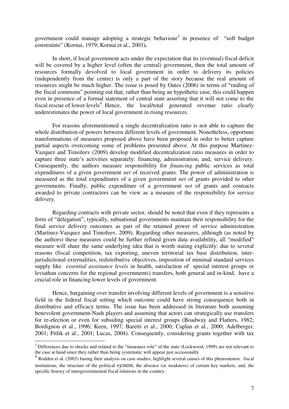government could manage adopting a strategic behaviour<sup>3</sup> in presence of "soft budget constraints" (Kornai, 1979; Kornai et al., 2003)**.** 

 In short, if local government acts under the expectation that its (eventual) fiscal deficit will be covered by a higher level (often the central) government, then the total amount of resources formally devolved to local government in order to delivery its policies (independently from the centre) is only a part of the story because the real amount of resources might be much higher. The issue is posed by Oates (2006) in terms of "raiding of the fiscal commons" pointing out that, rather than being an hypothetic case, this could happen even in presence of a formal statement of central state asserting that it will not come to the fiscal rescue of lower levels<sup>4</sup>. Hence, the local/total generated revenue ratio clearly underestimates the power of local government in rising resources.

 For reasons aforementioned a single decentralization ratio is not able to capture the whole distribution of powers between different levels of government. Nonetheless, opportune transformations of measures proposed above have been proposed in order to better capture partial aspects overcoming some of problems presented above. At this purpose Martinez-Vazquez and Timofeev (2009) develop modified decentralization ratio measures in order to capture three state's activities separately: financing, administration, and, service delivery. Consequently, the authors measure responsibility for *financing* public services as total expenditures of a given government *net* of received grants. The power of administration is measured as the total expenditures of a given government *net* of grants provided to other governments. Finally, public expenditure of a government *net* of grants and contracts awarded to private contractors can be view as a measure of the responsibility for service delivery.

Regarding contracts with private sector, should be noted that even if they represents a form of "delegation", typically, subnational governments maintain their responsibility for the final service delivery outcomes as part of the retained power of service administration (Martinez-Vazquez and Timofeev, 2009). Regarding other measures, although (as noted by the authors) these measures could be further refined given data availability, all "modified" measure will share the same underlying idea that is worth stating explicitly: due to several reasons (fiscal competition, tax exporting, uneven territorial tax base distribution, interjurisdictional externalities, redistributive objectives, imposition of minimal standard services supply like *essential assistance levels* in health, satisfaction of special interest groups or leviathan concerns for the regional governments) transfers, both general and in-kind, have a crucial role in financing lower levels of government.

Hence, bargaining over transfer involving different levels of government is a sensitive field in the federal fiscal setting which outcome could have strong consequence both in distributive and efficacy terms. The issue has been addressed in literature both assuming benevolent government-Nash players and assuming that actors can strategically use transfers for re-election or even for subsiding special interest groups (Boadway and Flatters, 1982; Bordignon et al., 1996; Keen, 1997; Baretti et al., 2000; Caplan et al., 2000; Adelberger, 2001; Pitlik et al., 2001; Lucas, 2004). Consequently, considering grants together with tax

-

 $3$  Differences due to shocks and related to the "insurance role" of the state (Lockwood, 1999) are not relevant to the case at hand since they rather than being systematic will appear just occasionally

<sup>&</sup>lt;sup>4</sup> Rodden et al. (2003) basing their analysis on case-studies, highlight several causes of this phenomenon: fiscal institutions, the structure of the political system, the absence (or weakness) of certain key markets, and, the specific history of intergovernmental fiscal relations in the country.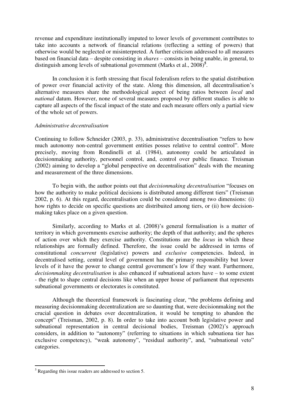revenue and expenditure institutionally imputed to lower levels of government contributes to take into accounts a network of financial relations (reflecting a setting of powers) that otherwise would be neglected or misinterpreted. A further criticism addressed to all measures based on financial data – despite consisting in *shares* – consists in being unable, in general, to distinguish among levels of subnational government (Marks et al., 2008)<sup>5</sup>.

In conclusion it is forth stressing that fiscal federalism refers to the spatial distribution of power over financial activity of the state. Along this dimension, all decentralisation's alternative measures share the methodological aspect of being ratios between *local* and *national* datum. However, none of several measures proposed by different studies is able to capture all aspects of the fiscal impact of the state and each measure offers only a partial view of the whole set of powers.

#### *Administrative decentralisation*

Continuing to follow Schneider (2003, p. 33), administrative decentralisation "refers to how much autonomy non-central government entities posses relative to central control". More precisely, moving from Rondinelli et al. (1984), autonomy could be articulated in decisionmaking authority, personnel control, and, control over public finance. Treisman (2002) aiming to develop a "global perspective on decentralisation" deals with the meaning and measurement of the three dimensions.

To begin with, the author points out that *decisionmaking decentralisation* "focuses on how the authority to make political decisions is distributed among different tiers" (Treisman 2002, p. 6). At this regard, decentralisation could be considered among two dimensions: (i) how rights to decide on specific questions are distribuited among tiers, or (ii) how decisionmaking takes place on a given question.

Similarly, according to Marks et al. (2008)'s general formalisation is a matter of territory in which governments exercise authority; the depth of that authority; and the spheres of action over which they exercise authority. Constitutions are the *locus* in which these relationships are formally defined. Therefore, the issue could be addressed in terms of constitutional *concurrent* (legislative) powers and *exclusive* competencies. Indeed, in decentralised setting, central level of government has the primary responsibility but lower levels of it have the power to change central government's low if they want. Furthermore, *decisionmaking decentralisation* is also enhanced if subnational actors have – to some extent - the right to shape central decisions like when an upper house of parliament that represents subnational governments or electorates is constituted.

Although the theoretical framework is fascinating clear, "the problems defining and measuring decisionmaking decentralization are so daunting that, were decisionmaking not the crucial question in debates over decentralization, it would be tempting to abandon the concept" (Treisman, 2002, p. 8). In order to take into account both legislative power and subnational representation in central decisional bodies, Treisman (2002)'s approach considers, in addition to "autonomy" (referring to situations in which subnationa tier has exclusive competency), "weak autonomy", "residual authority", and, "subnational veto" categories.

-

<sup>&</sup>lt;sup>5</sup> Regarding this issue readers are addressed to section 5.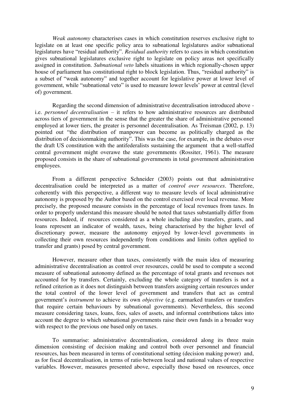*Weak autonomy* characterises cases in which constitution reserves exclusive right to legislate on at least one specific policy area to subnational legislatures and/or subnational legislatures have "residual authority". *Residual authority* refers to cases in which constitution gives subnational legislatures exclusive right to legislate on policy areas not specifically assigned in constitution. *Subnational veto* labels situations in which regionally-chosen upper house of parliament has constitutional right to block legislation. Thus, "residual authority" is a subset of "weak autonomy" and together account for legislative power at lower level of government, while "subnational veto" is used to measure lower levels' power at central (level of) government.

Regarding the second dimension of administrative decentralisation introduced above i.e. *personnel decentralisation* – it refers to how administrative resources are distributed across tiers of government in the sense that the greater the share of administrative personnel employed at lower tiers, the greater is personnel decentralisation. As Treisman (2002, p. 13) pointed out "the distribution of manpower can become as politically charged as the distribution of decisionmaking authority". This was the case, for example, in the debates over the draft US constitution with the antifederalists sustaining the argument that a well-staffed central government might overawe the state governments (Rossiter, 1961). The measure proposed consists in the share of subnational governments in total government administration employees.

From a different perspective Schneider (2003) points out that administrative decentralisation could be interpreted as a matter of *control over resources*. Therefore, coherently with this perspective, a different way to measure levels of local administrative autonomy is proposed by the Author based on the control exercised over local revenue. More precisely, the proposed measure consists in the percentage of local revenues from taxes. In order to properly understand this measure should be noted that taxes substantially differ from resources. Indeed, if resources considered as a whole including also transfers, grants, and loans represent an indicator of wealth, taxes, being characterised by the higher level of discretionary power, measure the autonomy enjoyed by lower-level governments in collecting their own resources independently from conditions and limits (often applied to transfer and grants) posed by central government.

However, measure other than taxes, consistently with the main idea of measuring administrative decentralisation as control over resources, could be used to compute a second measure of subnational autonomy defined as the percentage of total grants and revenues not accounted for by transfers. Certainly, excluding the whole category of transfers is not a refined criterion as it does not distinguish between transfers assigning certain resources under the total control of the lower level of government and transfers that act as central government's *instrument* to achieve its own *objective* (e.g. earmarked transfers or transfers that require certain behaviours by subnational governments). Nevertheless, this second measure considering taxes, loans, fees, sales of assets, and informal contributions takes into account the degree to which subnational governments raise their own funds in a broader way with respect to the previous one based only on taxes.

To summarise: administrative decentralisation, considered along its three main dimension consisting of decision making and control both over personnel and financial resources, has been measured in terms of constitutional setting (decision making power) and, as for fiscal decentralisation, in terms of ratio between local and national values of respective variables. However, measures presented above, especially those based on resources, once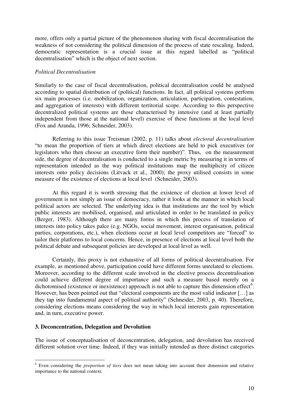more, offers only a partial picture of the phenomenon sharing with fiscal decentralisation the weakness of not considering the political dimension of the process of state rescaling. Indeed, democratic representation is a crucial issue at this regard labelled as "political decentralisation" which is the object of next section.

#### *Political Decentralisation*

Similarly to the case of fiscal decentralisation, political decentralisation could be analysed according to spatial distribution of (political) functions. In fact, all political systems perform six main processes (i.e. mobilization, organization, articulation, participation, contestation, and aggregation of interests) with different territorial scope. According to this perspective decentralized political systems are those characterised by intensive (and at least partially independent from those at the national level) exercise of these functions at the local level (Fox and Aranda, 1996; Schneider, 2003).

Referring to this issue Treisman (2002, p. 11) talks about *electoral decentralisation* "to mean the proportion of tiers at which direct elections are held to pick executives (or legislators who then choose an executive form their number)". Thus, on the measurement side, the degree of decentralisation is conducted to a single metric by measuring it in terms of representation intended as the way political institutions map the multiplicity of citizen interests onto policy decisions (Litvack et al., 2000); the proxy utilised consists in some measure of the existence of elections at local level (Schneider, 2003).

 At this regard it is worth stressing that the existence of election at lower level of government is not simply an issue of democracy, rather it looks at the manner in which local political actors are selected. The underlying idea is that institutions are the tool by which public interests are mobilised, organised, and articulated in order to be translated in policy (Berger, 1983). Although there are many forms in which this process of translation of interests into policy takes palce (e.g. NGOs, social movement, interest organisation, political parties, corporations, etc.), when elections occur at local level competitors are "forced" to tailor their platforms to local concerns. Hence, in presence of elections at local level both the political debate and subsequent policies are developed at local level as well.

 Certainly, this proxy is not exhaustive of all forms of political decentralisation. For example, as mentioned above, participation could have different forms unrelated to elections. Moreover, according to the different scale involved in the elective process decentralisation could achieve different degree of importance and such a measure based merely on a dichotomised (existence or inexistence) approach is not able to capture this dimension effect<sup>6</sup>. However, has been pointed out that "electoral components are the most valid indicator […] as they tap into fundamental aspect of political authority" (Schneider, 2003, p. 40). Therefore, considering elections means considering the way in which local interests gain representation and, in turn, executive power.

#### **3. Deconcentration, Delegation and Devolution**

The issue of conceptualisation of deconcentration, delegation, and devolution has received different solution over time. Indeed, if they was initially intended as three distinct categories

 6 Even considering the *proportion of tiers* does not mean taking into account their dimension and relative importance to the national context.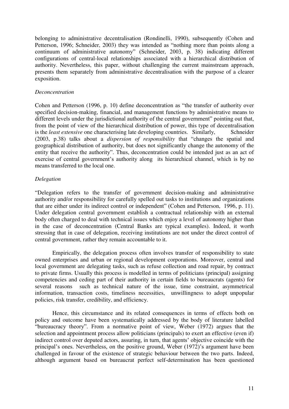belonging to administrative decentralisation (Rondinelli, 1990), subsequently (Cohen and Petterson, 1996; Schneider, 2003) they was intended as "nothing more than points along a continuum of administrative autonomy" (Schneider, 2003, p. 38) indicating different configurations of central-local relationships associated with a hierarchical distribution of authority. Nevertheless, this paper, without challenging the current mainstream approach, presents them separately from administrative decentralisation with the purpose of a clearer exposition.

#### *Deconcentration*

Cohen and Petterson (1996, p. 10) define deconcentration as "the transfer of authority over specified decision-making, financial, and management functions by administrative means to different levels under the jurisdictional authority of the central government" pointing out that, from the point of view of the hierarchical distribution of power, this type of decentralisation is the *least extensive* one characterising late developing countries. Similarly, Schneider (2003, p.38) talks about a *dispersion of responsibility* that "changes the spatial and geographical distribution of authority, but does not significantly change the autonomy of the entity that receive the authority". Thus, deconcentration could be intended just as an act of exercise of central government's authority along its hierarchical channel, which is by no means transferred to the local one.

# *Delegation*

"Delegation refers to the transfer of government decision-making and administrative authority and/or responsibility for carefully spelled out tasks to institutions and organizations that are either under its indirect control or independent" (Cohen and Petterson, 1996, p. 11). Under delegation central government establish a contractual relationship with an external body often charged to deal with technical issues which enjoy a level of autonomy higher than in the case of deconcentration (Central Banks are typical examples). Indeed, it worth stressing that in case of delegation, receiving institutions are not under the direct control of central government, rather they remain accountable to it.

 Empirically, the delegation process often involves transfer of responsibility to state owned enterprises and urban or regional development corporations. Moreover, central and local government are delegating tasks, such as refuse collection and road repair, by contract to private firms. Usually this process is modelled in terms of politicians (principal) assigning competencies and ceding part of their authority in certain fields to bureaucrats (agents) for several reasons such as technical nature of the issue, time constraint, asymmetrical information, transaction costs, timeliness necessities, unwillingness to adopt unpopular policies, risk transfer, credibility, and efficiency.

 Hence, this circumstance and its related consequences in terms of effects both on policy and outcome have been systematically addressed by the body of literature labelled "bureaucracy theory". From a normative point of view, Weber (1972) argues that the selection and appointment process allow politicians (principals) to exert an effective (even if) indirect control over deputed actors, assuring, in turn, that agents' objective coincide with the principal's ones. Nevertheless, on the positive ground, Weber (1972)'s argument have been challenged in favour of the existence of strategic behaviour between the two parts. Indeed, although argument based on bureaucrat perfect self-determination has been questioned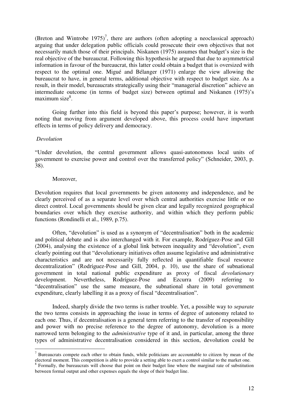(Breton and Wintrobe  $1975$ )<sup>7</sup>, there are authors (often adopting a neoclassical approach) arguing that under delegation public officials could prosecute their own objectives that not necessarily match those of their principals. Niskanen (1975) assumes that budget's size is the real objective of the bureaucrat. Following this hypothesis he argued that due to asymmetrical information in favour of the bureaucrat, this latter could obtain a budget that is oversized with respect to the optimal one. Migué and Bélanger (1971) enlarge the view allowing the bureaucrat to have, in general terms, additional objective with respect to budget size. As a result, in their model, bureaucrats strategically using their "managerial discretion" achieve an intermediate outcome (in terms of budget size) between optimal and Niskanen (1975)'s maximum size<sup>8</sup>.

Going further into this field is beyond this paper's purpose; however, it is worth noting that moving from argument developed above, this process could have important effects in terms of policy delivery and democracy.

#### *Devolution*

"Under devolution, the central government allows quasi-autonomous local units of government to exercise power and control over the transferred policy" (Schneider, 2003, p. 38).

#### Moreover,

Devolution requires that local governments be given autonomy and independence, and be clearly perceived of as a separate level over which central authorities exercise little or no direct control. Local governments should be given clear and legally recognized geographical boundaries over which they exercise authority, and within which they perform public functions (Rondinelli et al., 1989, p.75).

Often, "devolution" is used as a synonym of "decentralisation" both in the academic and political debate and is also interchanged with it. For example, Rodríguez-Pose and Gill (2004), analysing the existence of a global link between inequality and "devolution", even clearly pointing out that "devolutionary initiatives often assume legislative and administrative characteristics and are not necessarily fully reflected in quantifiable fiscal resource decentralization" (Rodríguez-Pose and Gill, 2004, p. 10), use the share of subnational government in total national public expenditure as proxy of fiscal *devolutionary*  development. Nevertheless, Rodríguez-Pose and Ezcurra (2009) referring to "decentralisation" use the same measure, the subnational share in total government expenditure, clearly labelling it as a proxy of fiscal "decentralisation".

 Indeed, sharply divide the two terms is rather trouble. Yet, a possible way to *separate*  the two terms consists in approaching the issue in terms of degree of autonomy related to each one. Thus, if decentralisation is a general term referring to the transfer of responsibility and power with no precise reference to the degree of autonomy, devolution is a more narrowed term belonging to the *administrative* type of it and, in particular, among the three types of administrative decentralisation considered in this section, devolution could be

<sup>&</sup>lt;sup>7</sup> Bureaucrats compete each other to obtain funds, while politicians are accountable to citizen by mean of the electoral moment. This competition is able to provide a setting able to exert a control similar to the market one.

<sup>&</sup>lt;sup>8</sup> Formally, the bureaucrats will choose that point on their budget line where the marginal rate of substitution between formal output and other expenses equals the slope of their budget line.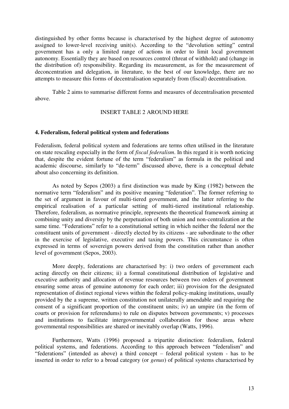distinguished by other forms because is characterised by the highest degree of autonomy assigned to lower-level receiving unit(s). According to the "devolution setting" central government has a only a limited range of actions in order to limit local government autonomy. Essentially they are based on resources control (threat of withhold) and (change in the distribution of) responsibility. Regarding its measurement, as for the measurement of deconcentration and delegation, in literature, to the best of our knowledge, there are no attempts to measure this forms of decentralisation separately from (fiscal) decentralisation.

Table 2 aims to summarise different forms and measures of decentralisation presented above.

#### INSERT TABLE 2 AROUND HERE

#### **4. Federalism, federal political system and federations**

Federalism, federal political system and federations are terms often utilised in the literature on state rescaling especially in the form of *fiscal federalism*. In this regard it is worth noticing that, despite the evident fortune of the term "federalism" as formula in the political and academic discourse, similarly to "de-term" discussed above, there is a conceptual debate about also concerning its definition.

 As noted by Sepos (2003) a first distinction was made by King (1982) between the normative term "federalism" and its positive meaning "federation". The former referring to the set of argument in favour of multi-tiered government, and the latter referring to the empirical realisation of a particular setting of multi-tiered institutional relationship. Therefore, federalism, as normative principle, represents the theoretical framework aiming at combining unity and diversity by the perpetuation of both union and non-centralization at the same time. "Federations" refer to a constitutional setting in which neither the federal nor the constituent units of government - directly elected by its citizens - are subordinate to the other in the exercise of legislative, executive and taxing powers. This circumstance is often expressed in terms of sovereign powers derived from the constitution rather than another level of government (Sepos, 2003).

More deeply, federations are characterised by: i) two orders of government each acting directly on their citizens; ii) a formal constitutional distribution of legislative and executive authority and allocation of revenue resources between two orders of government ensuring some areas of genuine autonomy for each order; iii) provision for the designated representation of distinct regional views within the federal policy-making institutions, usually provided by the a supreme, written constitution not unilaterally amendable and requiring the consent of a significant proportion of the constituent units; iv) an umpire (in the form of courts or provision for referendums) to rule on disputes between governments; v) processes and institutions to facilitate intergovernmental collaboration for those areas where governmental responsibilities are shared or inevitably overlap (Watts, 1996).

 Furthermore, Watts (1996) proposed a tripartite distinction: federalism, federal political systems, and federations. According to this approach between "federalism" and "federations" (intended as above) a third concept – federal political system - has to be inserted in order to refer to a broad category (or *genus*) of political systems characterised by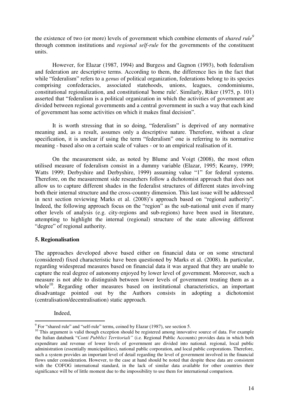the existence of two (or more) levels of government which combine elements of *shared rule<sup>9</sup>* through common institutions and *regional self-rule* for the governments of the constituent units.

 However, for Elazar (1987, 1994) and Burgess and Gagnon (1993), both federalism and federation are descriptive terms. According to them, the difference lies in the fact that while "federalism" refers to a *genus* of political organization, federations belong to its species comprising confederacies, associated statehoods, unions, leagues, condominiums, constitutional regionalization, and constitutional 'home rule'. Similarly, Riker (1975, p. 101) asserted that "federalism is a political organization in which the activities of government are divided between regional governments and a central government in such a way that each kind of government has some activities on which it makes final decision".

 It is worth stressing that in so doing, "federalism" is deprived of any normative meaning and, as a result, assumes only a descriptive nature. Therefore, without a clear specification, it is unclear if using the term "federalism" one is referring to its normative meaning - based also on a certain scale of values - or to an empirical realisation of it.

On the measurement side, as noted by Blume and Voigt (2008), the most often utilised measure of federalism consist in a dummy variable (Elazar, 1995; Kearny, 1999; Watts 1999; Derbyshire and Derbyshire, 1999) assuming value "1" for federal systems. Therefore, on the measurement side researchers follow a dichotomist approach that does not allow us to capture different shades in the federalist structures of different states involving both their internal structure and the cross-country dimension. This last issue will be addressed in next section reviewing Marks et al. (2008)'s approach based on "regional authority". Indeed, the following approach focus on the "region" as the sub-national unit even if many other levels of analysis (e.g. city-regions and sub-regions) have been used in literature, attempting to highlight the internal (regional) structure of the state allowing different "degree" of regional authority.

#### **5. Regionalisation**

The approaches developed above based either on financial data or on some structural (considered) fixed characteristic have been questioned by Marks et al. (2008). In particular, regarding widespread measures based on financial data it was argued that they are unable to capture the real degree of autonomy enjoyed by lower level of government. Moreover, such a measure is not able to distinguish between lower levels of government treating them as a whole<sup>10</sup>. Regarding other measures based on institutional characteristics, an important disadvantage pointed out by the Authors consists in adopting a dichotomist (centralisation/decentralisation) static approach.

Indeed,

<sup>-</sup><sup>9</sup> For "shared rule" and "self-rule" terms, coined by Elazar (1987), see section 5.

<sup>&</sup>lt;sup>10</sup> This argument is valid though exception should be registered among innovative source of data. For example the Italian databank "*Conti Pubblici Territoriali"* (i.e. Regional Public Accounts) provides data in which both expenditure and revenue of lower levels of government are divided into national. regional, local public administration (essentially municipalities), national public corporation, and local public corporations. Therefore, such a system provides an important level of detail regarding the level of government involved in the financial flows under consideration. However, to the case at hand should be noted that despite these data are consistent with the COFOG international standard, in the lack of similar data available for other countries their significance will be of little moment due to the impossibility to use them for international comparison.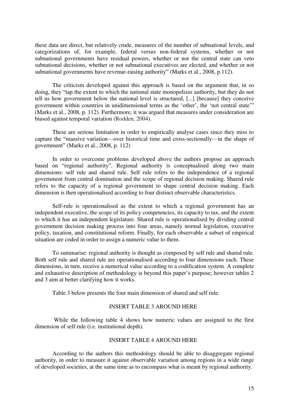these data are direct, but relatively crude, measures of the number of subnational levels, and categorizations of, for example, federal versus non-federal systems, whether or not subnational governments have residual powers, whether or not the central state can veto subnational decisions, whether or not subnational executives are elected, and whether or not subnational governments have revenue-raising authority" (Marks et al., 2008, p.112).

The criticism developed against this approach is based on the argument that, in so doing, they "tap the extent to which the national state monopolizes authority, but they do not tell us how government below the national level is structured, [...] [because] they conceive government within countries in unidimensional terms as the 'other', the 'not central state'" (Marks et al., 2008, p. 112). Furthermore, it was argued that measures under consideration are biased against temporal variation (Rodden, 2004).

These are serious limitation in order to empirically analyse cases since they miss to capture the "massive variation—over historical time and cross-sectionally—in the shape of government" (Marks et al., 2008, p. 112)

In order to overcome problems developed above the authors propose an approach based on "regional authority". Regional authority is conceptualised along two main dimensions: self rule and shared rule. Self rule refers to the independence of a regional government from central domination and the scope of regional decision making. Shared rule refers to the capacity of a regional government to shape central decision making. Each dimension is then operationalised according to four distinct observable characteristics.

Self-rule is operationalised as the extent to which a regional government has an independent executive, the scope of its policy competencies, its capacity to tax, and the extent to which it has an independent legislature. Shared rule is operationalised by dividing central government decision making process into four areas, namely normal legislation, executive policy, taxation, and constitutional reform. Finally, for each observable a subset of empirical situation are coded in order to assign a numeric value to them.

To summarise: regional authority is thought as composed by self rule and shared rule. Both self rule and shared rule are operationalised according to four dimensions each. These dimensions, in turn, receive a numerical value according to a codification system. A complete and exhaustive description of methodology is beyond this paper's purpose; however tables 2 and 3 aim at better clarifying how it works.

Table 3 below presents the four main dimension of shared and self rule.

#### INSERT TABLE 3 AROUND HERE

 While the following table 4 shows how numeric values are assigned to the first dimension of self rule (i.e. institutional depth).

#### INSERT TABLE 4 AROUND HERE

According to the authors this methodology should be able to disaggregate regional authority, in order to measure it against observable variation among regions in a wide range of developed societies, at the same time as to encompass what is meant by regional authority.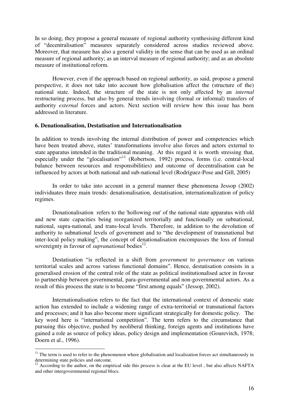In so doing, they propose a general measure of regional authority synthesising different kind of "decentralisation" measures separately considered across studies reviewed above. Moreover, that measure has also a general validity in the sense that can be used as an ordinal measure of regional authority; as an interval measure of regional authority; and as an absolute measure of institutional reform.

However, even if the approach based on regional authority, as said, propose a general perspective, it does not take into account how globalisation affect the (structure of the) national state. Indeed, the structure of the state is not only affected by an *internal*  restructuring process, but also by general trends involving (formal or informal) transfers of authority *external* forces and actors. Next section will review how this issue has been addressed in literature.

#### **6. Denationalisation, Destatisation and Internationalisation**

In addition to trends involving the internal distribution of power and competencies which have been treated above, states' transformations involve also forces and actors external to state apparatus intended in the traditional meaning. At this regard it is worth stressing that, especially under the "glocalisation"<sup>11</sup> (Robertson, 1992) process, forms (i.e. central-local balance between resources and responsibilities) and outcome of decentralisation can be influenced by actors at both national and sub-national level (Rodríguez-Pose and Gill, 2005)

In order to take into account in a general manner these phenomena Jessop (2002) individuates three main trends: denationalisation, destatisation, internationalization of policy regimes.

Denationalisation refers to the 'hollowing out' of the national state apparatus with old and new state capacities being reorganized territorially and functionally on subnational, national, supra-national, and trans-local levels. Therefore, in addition to the devolution of authority to subnational levels of government and to "the development of transnational but inter-local policy making", the concept of denationalisation encompasses the loss of formal sovereignty in favour of *supranational* bodies<sup>12</sup>.

Destatisation "is reflected in a shift from *government* to *governance* on various territorial scales and across various functional domains". Hence, destatisation consists in a generalised erosion of the central role of the state as political institutionalised actor in favour to partnership between governmental, para-governmental and non-governmental actors. As a result of this process the state is to become "first among equals" (Jessop, 2002).

 Internationalisation refers to the fact that the international context of domestic state action has extended to include a widening range of extra-territorial or transnational factors and processes; and it has also become more significant strategically for domestic policy. The key word here is "international competition". The term refers to the circumstance that pursuing this objective, pushed by neoliberal thinking, foreign agents and institutions have gained a role as source of policy ideas, policy design and implementation (Gourevitch, 1978; Doern et al., 1996).

-

 $11$  The term is used to refer to the phenomenon where globalization and localization forces act simultaneously in determining state policies and outcome.

<sup>&</sup>lt;sup>12</sup> According to the author, on the empirical side this process is clear at the EU level, but also affects NAFTA and other intergovernmental regional blocs.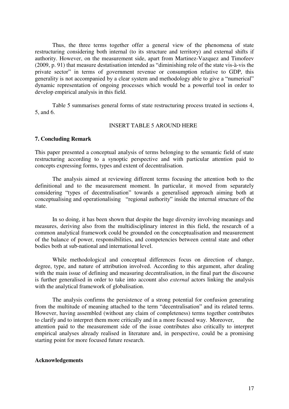Thus, the three terms together offer a general view of the phenomena of state restructuring considering both internal (to its structure and territory) and external shifts if authority. However, on the measurement side, apart from Martinez-Vazquez and Timofeev (2009, p. 91) that measure destatisation intended as "diminishing role of the state vis-à-vis the private sector" in terms of government revenue or consumption relative to GDP, this generality is not accompanied by a clear system and methodology able to give a "numerical" dynamic representation of ongoing processes which would be a powerful tool in order to develop empirical analysis in this field.

 Table 5 summarises general forms of state restructuring process treated in sections 4, 5, and 6.

#### INSERT TABLE 5 AROUND HERE

#### **7. Concluding Remark**

This paper presented a conceptual analysis of terms belonging to the semantic field of state restructuring according to a synoptic perspective and with particular attention paid to concepts expressing forms, types and extent of decentralisation.

 The analysis aimed at reviewing different terms focusing the attention both to the definitional and to the measurement moment. In particular, it moved from separately considering "types of decentralisation" towards a generalised approach aiming both at conceptualising and operationalising "regional authority" inside the internal structure of the state.

 In so doing, it has been shown that despite the huge diversity involving meanings and measures, deriving also from the multidisciplinary interest in this field, the research of a common analytical framework could be grounded on the conceptualisation and measurement of the balance of power, responsibilities, and competencies between central state and other bodies both at sub-national and international level.

 While methodological and conceptual differences focus on direction of change, degree, type, and nature of attribution involved. According to this argument, after dealing with the main issue of defining and measuring decentralisation, in the final part the discourse is further generalised in order to take into account also *external* actors linking the analysis with the analytical framework of globalisation.

The analysis confirms the persistence of a strong potential for confusion generating from the multitude of meaning attached to the term "decentralisation" and its related terms. However, having assembled (without any claim of completeness) terms together contributes to clarify and to interpret them more critically and in a more focused way. Moreover, the attention paid to the measurement side of the issue contributes also critically to interpret empirical analyses already realised in literature and, in perspective, could be a promising starting point for more focused future research.

#### **Acknowledgements**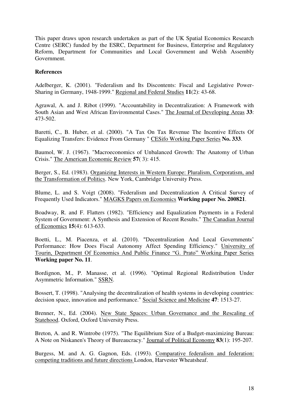This paper draws upon research undertaken as part of the UK Spatial Economics Research Centre (SERC) funded by the ESRC, Department for Business, Enterprise and Regulatory Reform, Department for Communities and Local Government and Welsh Assembly Government.

### **References**

Adelberger, K. (2001). "Federalism and Its Discontents: Fiscal and Legislative Power-Sharing in Germany, 1948-1999." Regional and Federal Studies **11**(2): 43-68.

Agrawal, A. and J. Ribot (1999). "Accountability in Decentralization: A Framework with South Asian and West African Environmental Cases." The Journal of Developing Areas **33**: 473-502.

Baretti, C., B. Huber, et al. (2000). "A Tax On Tax Revenue The Incentive Effects Of Equalizing Transfers: Evidence From Germany " CESifo Working Paper Series **No. 333**.

Baumol, W. J. (1967). "Macroeconomics of Unbalanced Growth: The Anatomy of Urban Crisis." The American Economic Review **57**( 3): 415.

Berger, S., Ed. (1983). Organizing Interests in Western Europe: Pluralism, Corporatism, and the Transformation of Politics. New York, Cambridge University Press.

Blume, L. and S. Voigt (2008). "Federalism and Decentralization A Critical Survey of Frequently Used Indicators." MAGKS Papers on Economics **Working paper No. 200821**.

Boadway, R. and F. Flatters (1982). "Efficiency and Equalization Payments in a Federal System of Government: A Synthesis and Extension of Recent Results." The Canadian Journal of Economics **15**(4): 613-633.

Boetti, L., M. Piacenza, et al. (2010). "Decentralization And Local Governments' Performance: How Does Fiscal Autonomy Affect Spending Efficiency." University of Tourin, Department Of Economics And Public Finance "G. Prato" Working Paper Series **Working paper No. 11**.

Bordignon, M., P. Manasse, et al. (1996). "Optimal Regional Redistribution Under Asymmetric Information." SSRN.

Bossert, T. (1998). "Analysing the decentralization of health systems in developing countries: decision space, innovation and performance." Social Science and Medicine **47**: 1513-27.

Brenner, N., Ed. (2004). New State Spaces: Urban Governance and the Rescaling of Statehood. Oxford, Oxford University Press.

Breton, A. and R. Wintrobe (1975). "The Equilibrium Size of a Budget-maximizing Bureau: A Note on Niskanen's Theory of Bureaucracy." Journal of Political Economy **83**(1): 195-207.

Burgess, M. and A. G. Gagnon, Eds. (1993). Comparative federalism and federation: competing traditions and future directions London, Harvester Wheatsheaf.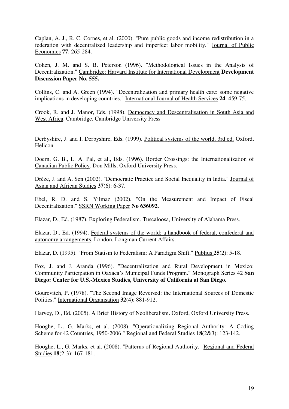Caplan, A. J., R. C. Cornes, et al. (2000). "Pure public goods and income redistribution in a federation with decentralized leadership and imperfect labor mobility." Journal of Public Economics **77**: 265-284.

Cohen, J. M. and S. B. Peterson (1996). "Methodological Issues in the Analysis of Decentralization." Cambridge: Harvard Institute for International Development **Development Discussion Paper No. 555.**

Collins, C. and A. Green (1994). "Decentralization and primary health care: some negative implications in developing countries." International Journal of Health Services **24**: 459-75.

Crook, R. and J. Manor, Eds. (1998). Democracy and Descentralisation in South Asia and West Africa. Cambridge, Cambridge University Press

Derbyshire, J. and I. Derbyshire, Eds. (1999). Political systems of the world, 3rd ed. Oxford, Helicon.

Doern, G. B., L. A. Pal, et al., Eds. (1996). Border Crossings: the Internationalization of Canadian Public Policy. Don Mills, Oxford University Press.

Drèze, J. and A. Sen (2002). "Democratic Practice and Social Inequality in India." Journal of Asian and African Studies **37**(6): 6-37.

Ebel, R. D. and S. Yilmaz (2002). "On the Measurement and Impact of Fiscal Decentralization." SSRN Working Paper **No 636092**.

Elazar, D., Ed. (1987). Exploring Federalism. Tuscaloosa, University of Alabama Press.

Elazar, D., Ed. (1994). Federal systems of the world: a handbook of federal, confederal and autonomy arrangements. London, Longman Current Affairs.

Elazar, D. (1995). "From Statism to Federalism: A Paradigm Shift." Publius **25**(2): 5-18.

Fox, J. and J. Aranda (1996). "Decentralization and Rural Development in Mexico: Community Participation in Oaxaca's Municipal Funds Program." Monograph Series 42 **San Diego: Center for U.S.-Mexico Studies, University of California at San Diego.**

Gourevitch, P. (1978). "The Second Image Reversed: the International Sources of Domestic Politics." International Organisation **32**(4): 881-912.

Harvey, D., Ed. (2005). A Brief History of Neoliberalism. Oxford, Oxford University Press.

Hooghe, L., G. Marks, et al. (2008). "Operationalizing Regional Authority: A Coding Scheme for 42 Countries, 1950-2006 " Regional and Federal Studies **18**(2&3): 123-142.

Hooghe, L., G. Marks, et al. (2008). "Patterns of Regional Authority." Regional and Federal Studies **18**(2-3): 167-181.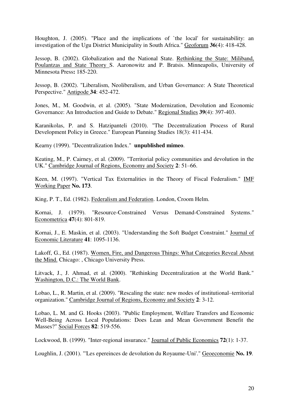Houghton, J. (2005). "Place and the implications of `the local' for sustainability: an investigation of the Ugu District Municipality in South Africa." Geoforum **36**(4): 418-428.

Jessop, B. (2002). Globalization and the National State. Rethinking the State: Miliband, Poulantzas and State Theory S. Aaronowitz and P. Bratsis. Minneapolis, University of Minnesota Press**:** 185-220.

Jessop, B. (2002). "Liberalism, Neoliberalism, and Urban Governance: A State Theoretical Perspective." Antipode **34**: 452-472.

Jones, M., M. Goodwin, et al. (2005). "State Modernization, Devolution and Economic Governance: An Introduction and Guide to Debate." Regional Studies **39**(4): 397-403.

Karanikolas, P. and S. Hatzipanteli (2010). "The Decentralization Process of Rural Development Policy in Greece." European Planning Studies 18(3): 411-434.

Kearny (1999). "Decentralization Index." **unpublished mimeo**.

Keating, M., P. Cairney, et al. (2009). "Territorial policy communities and devolution in the UK." Cambridge Journal of Regions, Economy and Society **2**: 51–66.

Keen, M. (1997). "Vertical Tax Externalities in the Theory of Fiscal Federalism." IMF Working Paper **No. 173**.

King, P. T., Ed. (1982). Federalism and Federation. London, Croom Helm.

Kornai, J. (1979). "Resource-Constrained Versus Demand-Constrained Systems." Econometrica **47**(4): 801-819.

Kornai, J., E. Maskin, et al. (2003). "Understanding the Soft Budget Constraint." Journal of Economic Literature **41**: 1095-1136.

Lakoff, G., Ed. (1987). Women, Fire, and Dangerous Things: What Categories Reveal About the Mind. Chicago: , Chicago University Press.

Litvack, J., J. Ahmad, et al. (2000). "Rethinking Decentralization at the World Bank." Washington, D.C.: The World Bank.

Lobao, L., R. Martin, et al. (2009). "Rescaling the state: new modes of institutional–territorial organization." Cambridge Journal of Regions, Economy and Society **2**: 3-12.

Lobao, L. M. and G. Hooks (2003). "Public Employment, Welfare Transfers and Economic Well-Being Across Local Populations: Does Lean and Mean Government Benefit the Masses?" Social Forces **82**: 519-556.

Lockwood, B. (1999). "Inter-regional insurance." Journal of Public Economics **72**(1): 1-37.

Loughlin, J. (2001). "'Les epereinces de devolution du Royaume-Uni'." Geoeconomie **No. 19**.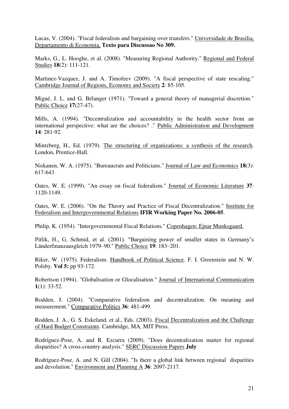Lucas, V. (2004). "Fiscal federalism and bargaining over transfers." Universidade de Brasilia, Departamento di Economia, **Texto para Discussao No 309.**

Marks, G., L. Hooghe, et al. (2008). "Measuring Regional Authority." Regional and Federal Studies **18**(2): 111-121.

Martinez-Vazquez, J. and A. Timofeev (2009). "A fiscal perspective of state rescaling." Cambridge Journal of Regions, Economy and Society **2**: 85-105.

Migué, J. L. and G. Bélanger (1971). "Toward a general theory of managerial discretion." Public Choice **17**(27-47).

Mills, A. (1994). "Decentralization and accountability in the health sector from an international perspective: what are the choices? ." Public Administration and Development **14**: 281-92.

Mintzberg, H., Ed. (1979). The structuring of organizations: a synthesis of the research. London, Prentice-Hall.

Niskanen, W. A. (1975). "Bureaucrats and Politicians." Journal of Law and Economics **18**(3): 617-643

Oates, W. E. (1999). "An essay on fiscal federalism." Journal of Economic Literature **37**: 1120-1149.

Oates, W. E. (2006). "On the Theory and Practice of Fiscal Decentralization." Institute for Federalism and Intergovernmental Relations **IFIR Working Paper No. 2006-05**.

Philip, K. (1954). "Intergovernmental Fiscal Relations." Copenhagen: Ejnar Munksgaard.

Pitlik, H., G. Schmid, et al. (2001). "Bargaining power of smaller states in Germany's Länderfinanzausgleich 1979–90." Public Choice **19**: 183–201.

Riker, W. (1975). Federalism. Handbook of Political Science. F. I. Greenstein and N. W. Polsby. **Vol 5:** pp 93-172.

Robertson (1994). "Globalisation or Glocalisation." Journal of International Communication **1**(1): 33-52.

Rodden, J. (2004). "Comparative federalism and decentralization. On meaning and measurement." Comparative Politics **36**: 481-499.

Rodden, J. A., G. S. Eskeland, et al., Eds. (2003). Fiscal Decentralization and the Challenge of Hard Budget Constraints. Cambridge, MA, MIT Press.

Rodríguez-Pose, A. and R. Ezcurra (2009). "Does decentralization matter for regional disparities? A cross-country analysis." SERC Discussion Papers **July** 

Rodríguez-Pose, A. and N. Gill (2004). "Is there a global link between regional disparities and devolution." Environment and Planning A **36**: 2097-2117.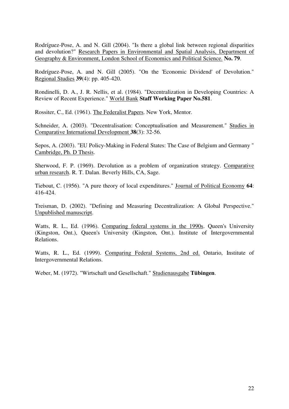Rodríguez-Pose, A. and N. Gill (2004). "Is there a global link between regional disparities and devolution?" Research Papers in Environmental and Spatial Analysis, Department of Geography & Environment, London School of Economics and Political Science. **No. 79**.

Rodríguez-Pose, A. and N. Gill (2005). "On the 'Economic Dividend' of Devolution." Regional Studies **39**(4): pp. 405-420.

Rondinelli, D. A., J. R. Nellis, et al. (1984). "Decentralization in Developing Countries: A Review of Recent Experience." World Bank **Staff Working Paper No.581**.

Rossiter, C., Ed. (1961). The Federalist Papers. New York, Mentor.

Schneider, A. (2003). "Decentralisation: Conceptualisation and Measurement." Studies in Comparative International Development **38**(3): 32-56.

Sepos, A. (2003). "EU Policy-Making in Federal States: The Case of Belgium and Germany " Cambridge, Ph. D Thesis.

Sherwood, F. P. (1969). Devolution as a problem of organization strategy. Comparative urban research. R. T. Dalan. Beverly Hills, CA, Sage.

Tiebout, C. (1956). "A pure theory of local expenditures." Journal of Political Economy **64**: 416-424.

Treisman, D. (2002). "Defining and Measuring Decentralization: A Global Perspective." Unpublished manuscript.

Watts, R. L., Ed. (1996). Comparing federal systems in the 1990s. Queen's University (Kingston, Ont.), Queen's University (Kingston, Ont.). Institute of Intergovernmental Relations.

Watts, R. L., Ed. (1999). Comparing Federal Systems, 2nd ed. Ontario, Institute of Intergovernmental Relations.

Weber, M. (1972). "Wirtschaft und Gesellschaft." Studienausgabe **Tübingen**.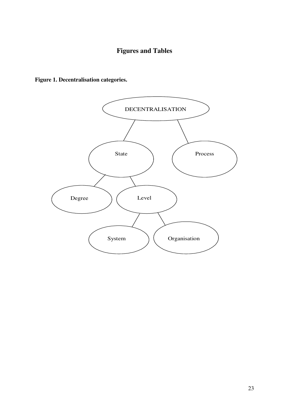# **Figures and Tables**



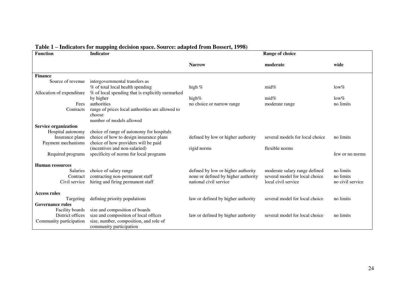| <b>Function</b>             | murators for mapping accision space. Source, auapica from Dossert, 1990,<br><b>Indicator</b> | Range of choice                     |                                 |                  |
|-----------------------------|----------------------------------------------------------------------------------------------|-------------------------------------|---------------------------------|------------------|
|                             |                                                                                              | <b>Narrow</b>                       | moderate                        | wide             |
| <b>Finance</b>              |                                                                                              |                                     |                                 |                  |
| Source of revenue           | intergovernmental transfers as                                                               |                                     |                                 |                  |
|                             | % of total local health spending                                                             | high $%$                            | $mid\%$                         | $low\%$          |
| Allocation of expenditure   | % of local spending that is explicitly earmarked                                             |                                     |                                 |                  |
|                             | by higher                                                                                    | high%                               | $mid\%$                         | $low\%$          |
| Fees                        | authorities                                                                                  | no choice or narrow range           | moderate range                  | no limits        |
| Contracts                   | range of prices local authorities are allowed to                                             |                                     |                                 |                  |
|                             | choose                                                                                       |                                     |                                 |                  |
|                             | number of models allowed                                                                     |                                     |                                 |                  |
| <b>Service organization</b> |                                                                                              |                                     |                                 |                  |
| Hospital autonomy           | choice of range of autonomy for hospitals                                                    |                                     |                                 |                  |
| Insurance plans             | choice of how to design insurance plans                                                      | defined by low or higher authority  | several models for local choice | no limits        |
| Payment mechanisms          | choice of how providers will be paid                                                         |                                     |                                 |                  |
|                             | (incentives and non-salaried)                                                                | rigid norms                         | flexible norms                  |                  |
| Required programs           | specificity of norms for local programs                                                      |                                     |                                 | few or no norms  |
| <b>Human resources</b>      |                                                                                              |                                     |                                 |                  |
| <b>Salaries</b>             | choice of salary range                                                                       | defined by low or higher authority  | moderate salary range defined   | no limits        |
| Contract                    | contracting non-permanent staff                                                              | none or defined by higher authority | several model for local choice  | no limits        |
| Civil service               | hiring and firing permanent staff                                                            | national civil service              | local civil service             | no civil service |
| <b>Access rules</b>         |                                                                                              |                                     |                                 |                  |
| Targeting                   | defining priority populations                                                                | law or defined by higher authority  | several model for local choice  | no limits        |
| <b>Governance rules</b>     |                                                                                              |                                     |                                 |                  |
| Facility boards             | size and composition of boards                                                               |                                     |                                 |                  |
| District offices            | size and composition of local offices                                                        | law or defined by higher authority  | several model for local choice  | no limits        |
| Community participation     | size, number, composition, and role of                                                       |                                     |                                 |                  |
|                             | community participation                                                                      |                                     |                                 |                  |

#### **Table 1 – Indicators for mapping decision space. Source: adapted from Bossert, 1998)**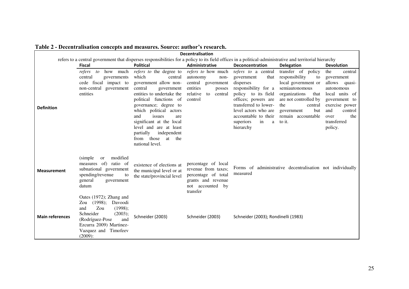| <i>chth ambathon</i> toned<br>ns and measures, source, auenor s'resear<br><b>Decentralisation</b> |                                                                                                                                                                                                  |                                                                                                                                                                                                                                                                                                                                                              |                                                                                                                                   |                                                                                                                                                                                                                                                               |                                                                                                                                                                                        |                                                                                                                                                                                |  |  |
|---------------------------------------------------------------------------------------------------|--------------------------------------------------------------------------------------------------------------------------------------------------------------------------------------------------|--------------------------------------------------------------------------------------------------------------------------------------------------------------------------------------------------------------------------------------------------------------------------------------------------------------------------------------------------------------|-----------------------------------------------------------------------------------------------------------------------------------|---------------------------------------------------------------------------------------------------------------------------------------------------------------------------------------------------------------------------------------------------------------|----------------------------------------------------------------------------------------------------------------------------------------------------------------------------------------|--------------------------------------------------------------------------------------------------------------------------------------------------------------------------------|--|--|
|                                                                                                   | refers to a central government that disperses responsibilities for a policy to its field offices in a political-administrative and territorial hierarchy                                         |                                                                                                                                                                                                                                                                                                                                                              |                                                                                                                                   |                                                                                                                                                                                                                                                               |                                                                                                                                                                                        |                                                                                                                                                                                |  |  |
| <b>Fiscal</b>                                                                                     |                                                                                                                                                                                                  | <b>Political</b>                                                                                                                                                                                                                                                                                                                                             | Administrative                                                                                                                    | Deconcentration                                                                                                                                                                                                                                               | <b>Delegation</b>                                                                                                                                                                      | <b>Devolution</b>                                                                                                                                                              |  |  |
| <b>Definition</b>                                                                                 | how much<br>refers<br>$\mathfrak{c}$<br>central<br>governments<br>cede fiscal impact to<br>non-central government<br>entities                                                                    | refers to the degree to<br>which<br>central<br>government allow non-<br>central<br>government<br>entities to undertake the<br>political functions of<br>governance; degree to<br>which political actors<br>and<br>issues<br>are<br>significant at the local<br>level and are at least<br>partially<br>independent<br>from those<br>at the<br>national level. | <i>refers to</i> how much<br>autonomy<br>non-<br>central government<br>entities<br>posses<br>relative<br>to<br>central<br>control | refers to a central<br>that<br>government<br>disperses<br>responsibility for a<br>policy to its field<br>offices; powers are<br>transferred to lower-<br>level actors who are<br>accountable to their remain accountable<br>superiors<br>in<br>a<br>hierarchy | transfer of policy<br>responsibility<br>to<br>local government or<br>semiautonomous<br>organizations<br>that<br>are not controlled by<br>the<br>central<br>but<br>government<br>to it. | the<br>central<br>government<br>allows<br>quasi-<br>autonomous<br>local units of<br>government to<br>exercise power<br>and<br>control<br>the<br>over<br>transferred<br>policy. |  |  |
| <b>Measurement</b>                                                                                | modified<br>(simple)<br><sub>or</sub><br>measures of) ratio of<br>subnational government<br>spending/revenue<br>to<br>general<br>government<br>datum                                             | existence of elections at<br>the municipal level or at<br>the state/provincial level                                                                                                                                                                                                                                                                         | percentage of local<br>revenue from taxes;<br>percentage of total<br>grants and revenue<br>not accounted by<br>transfer           | measured                                                                                                                                                                                                                                                      | Forms of administrative decentralisation not individually                                                                                                                              |                                                                                                                                                                                |  |  |
| <b>Main references</b>                                                                            | Oates (1972); Zhang and<br>Zou $(1998)$ ;<br>Davoodi<br>Zou<br>and<br>(1998);<br>Schneider<br>(2003);<br>(Rodríguez-Pose<br>and<br>Ezcurra 2009) Martinez-<br>Vazquez and Timofeev<br>$(2009)$ : | Schneider (2003)                                                                                                                                                                                                                                                                                                                                             | Schneider (2003)                                                                                                                  | Schneider (2003); Rondinelli (1983)                                                                                                                                                                                                                           |                                                                                                                                                                                        |                                                                                                                                                                                |  |  |

**Table 2 - Decentralisation concepts and measures. Source: author's research.**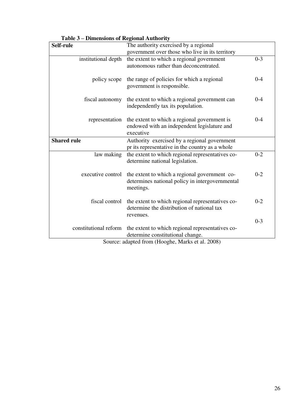|                                                    | – Бинсиябия от кедронат Айтногну                 |         |  |  |  |
|----------------------------------------------------|--------------------------------------------------|---------|--|--|--|
| The authority exercised by a regional<br>Self-rule |                                                  |         |  |  |  |
|                                                    | government over those who live in its territory  |         |  |  |  |
| institutional depth                                | the extent to which a regional government        | $0 - 3$ |  |  |  |
|                                                    | autonomous rather than deconcentrated.           |         |  |  |  |
|                                                    |                                                  |         |  |  |  |
| policy scope                                       | the range of policies for which a regional       | $0 - 4$ |  |  |  |
|                                                    | government is responsible.                       |         |  |  |  |
|                                                    |                                                  |         |  |  |  |
| fiscal autonomy                                    | the extent to which a regional government can    | $0 - 4$ |  |  |  |
|                                                    | independently tax its population.                |         |  |  |  |
|                                                    |                                                  |         |  |  |  |
|                                                    |                                                  | $0 - 4$ |  |  |  |
| representation                                     | the extent to which a regional government is     |         |  |  |  |
|                                                    | endowed with an independent legislature and      |         |  |  |  |
|                                                    | executive                                        |         |  |  |  |
| <b>Shared rule</b>                                 | Authority exercised by a regional government     |         |  |  |  |
|                                                    | pr its representative in the country as a whole  |         |  |  |  |
| law making                                         | the extent to which regional representatives co- | $0 - 2$ |  |  |  |
|                                                    | determine national legislation.                  |         |  |  |  |
|                                                    |                                                  |         |  |  |  |
| executive control                                  | the extent to which a regional government co-    | $0 - 2$ |  |  |  |
|                                                    | determines national policy in intergovernmental  |         |  |  |  |
|                                                    | meetings.                                        |         |  |  |  |
|                                                    |                                                  |         |  |  |  |
| fiscal control                                     | the extent to which regional representatives co- | $0 - 2$ |  |  |  |
|                                                    | determine the distribution of national tax       |         |  |  |  |
|                                                    |                                                  |         |  |  |  |
|                                                    | revenues.                                        | $0 - 3$ |  |  |  |
|                                                    |                                                  |         |  |  |  |
| constitutional reform                              | the extent to which regional representatives co- |         |  |  |  |
|                                                    | determine constitutional change.                 |         |  |  |  |
| Source: adapted from (Hooghe, Marks et al. 2008)   |                                                  |         |  |  |  |

**Table 3 – Dimensions of Regional Authority**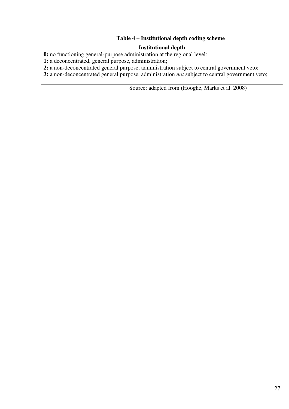# **Table 4 – Institutional depth coding scheme**

# **Institutional depth**

**0:** no functioning general-purpose administration at the regional level:

**1:** a deconcentrated, general purpose, administration;

**2:** a non-deconcentrated general purpose, administration subject to central government veto;

**3:** a non-deconcentrated general purpose, administration *not* subject to central government veto;

Source: adapted from (Hooghe, Marks et al. 2008)